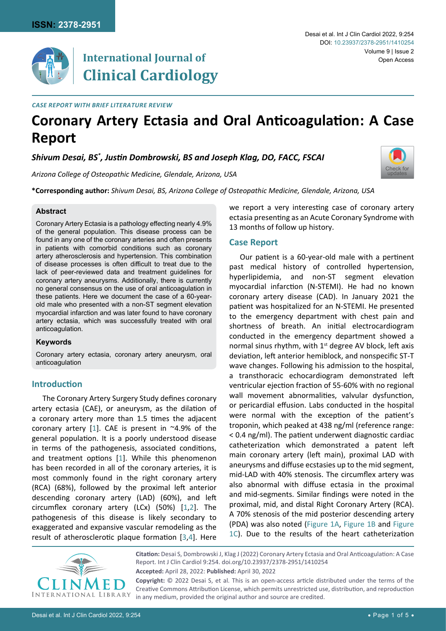[Check for](http://crossmark.crossref.org/dialog/?doi=10.23937/2378-2951/1410254&domain=pdf) updates



## **International Journal of Clinical Cardiology**

*Case Report with Brief Literature Review*

# **Coronary Artery Ectasia and Oral Anticoagulation: A Case Report**

*Shivum Desai, BS\* , Justin Dombrowski, BS and Joseph Klag, DO, FACC, FSCAI*

*Arizona College of Osteopathic Medicine, Glendale, Arizona, USA* 

**\*Corresponding author:** *Shivum Desai, BS, Arizona College of Osteopathic Medicine, Glendale, Arizona, USA*

### **Abstract**

Coronary Artery Ectasia is a pathology effecting nearly 4.9% of the general population. This disease process can be found in any one of the coronary arteries and often presents in patients with comorbid conditions such as coronary artery atherosclerosis and hypertension. This combination of disease processes is often difficult to treat due to the lack of peer-reviewed data and treatment guidelines for coronary artery aneurysms. Additionally, there is currently no general consensus on the use of oral anticoagulation in these patients. Here we document the case of a 60-yearold male who presented with a non-ST segment elevation myocardial infarction and was later found to have coronary artery ectasia, which was successfully treated with oral anticoagulation.

## **Keywords**

Coronary artery ectasia, coronary artery aneurysm, oral anticoagulation

## **Introduction**

The Coronary Artery Surgery Study defines coronary artery ectasia (CAE), or aneurysm, as the dilation of a coronary artery more than 1.5 times the adjacent coronary artery [[1\]](#page-3-0). CAE is present in  $\sim$ 4.9% of the general population. It is a poorly understood disease in terms of the pathogenesis, associated conditions, and treatment options [\[1](#page-3-0)]. While this phenomenon has been recorded in all of the coronary arteries, it is most commonly found in the right coronary artery (RCA) (68%), followed by the proximal left anterior descending coronary artery (LAD) (60%), and left circumflex coronary artery (LCx) (50%) [[1](#page-3-0)[,2\]](#page-3-1). The pathogenesis of this disease is likely secondary to exaggerated and expansive vascular remodeling as the result of atherosclerotic plaque formation [\[3](#page-3-2),[4](#page-3-3)]. Here we report a very interesting case of coronary artery ectasia presenting as an Acute Coronary Syndrome with 13 months of follow up history.

## **Case Report**

Our patient is a 60-year-old male with a pertinent past medical history of controlled hypertension, hyperlipidemia, and non-ST segment elevation myocardial infarction (N-STEMI). He had no known coronary artery disease (CAD). In January 2021 the patient was hospitalized for an N-STEMI. He presented to the emergency department with chest pain and shortness of breath. An initial electrocardiogram conducted in the emergency department showed a normal sinus rhythm, with  $1<sup>st</sup>$  degree AV block, left axis deviation, left anterior hemiblock, and nonspecific ST-T wave changes. Following his admission to the hospital, a transthoracic echocardiogram demonstrated left ventricular ejection fraction of 55-60% with no regional wall movement abnormalities, valvular dysfunction, or pericardial effusion. Labs conducted in the hospital were normal with the exception of the patient's troponin, which peaked at 438 ng/ml (reference range: < 0.4 ng/ml). The patient underwent diagnostic cardiac catheterization which demonstrated a patent left main coronary artery (left main), proximal LAD with aneurysms and diffuse ecstasies up to the mid segment, mid-LAD with 40% stenosis. The circumflex artery was also abnormal with diffuse ectasia in the proximal and mid-segments. Similar findings were noted in the proximal, mid, and distal Right Coronary Artery (RCA). A 70% stenosis of the mid posterior descending artery (PDA) was also noted ([Figure 1A](#page-1-0), [Figure 1B](#page-1-0) and [Figure](#page-1-0)  [1C\)](#page-1-0). Due to the results of the heart catheterization



**Citation:** Desai S, Dombrowski J, Klag J (2022) Coronary Artery Ectasia and Oral Anticoagulation: A Case Report. Int J Clin Cardiol 9:254. [doi.org/10.23937/2378-2951/1410254](https://doi.org/10.23937/2378-2951/1410254) **Accepted:** April 28, 2022: **Published:** April 30, 2022 **Copyright:** © 2022 Desai S, et al. This is an open-access article distributed under the terms of the

Creative Commons Attribution License, which permits unrestricted use, distribution, and reproduction in any medium, provided the original author and source are credited.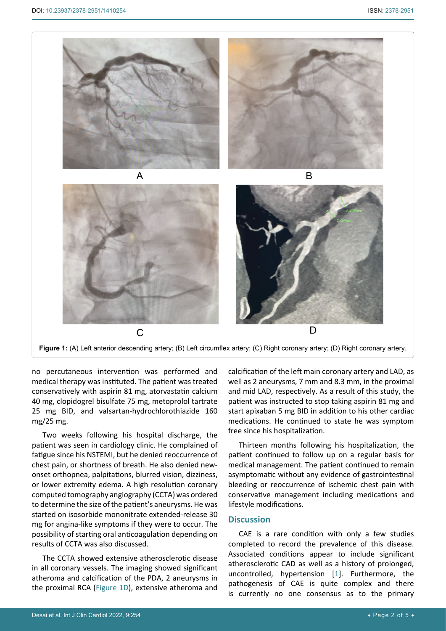<span id="page-1-0"></span>Ī



**Figure 1:** (A) Left anterior descending artery; (B) Left circumflex artery; (C) Right coronary artery; (D) Right coronary artery.

no percutaneous intervention was performed and medical therapy was instituted. The patient was treated conservatively with aspirin 81 mg, atorvastatin calcium 40 mg, clopidogrel bisulfate 75 mg, metoprolol tartrate 25 mg BID, and valsartan-hydrochlorothiazide 160 mg/25 mg.

Two weeks following his hospital discharge, the patient was seen in cardiology clinic. He complained of fatigue since his NSTEMI, but he denied reoccurrence of chest pain, or shortness of breath. He also denied newonset orthopnea, palpitations, blurred vision, dizziness, or lower extremity edema. A high resolution coronary computed tomography angiography (CCTA) was ordered to determine the size of the patient's aneurysms. He was started on isosorbide mononitrate extended-release 30 mg for angina-like symptoms if they were to occur. The possibility of starting oral anticoagulation depending on results of CCTA was also discussed.

The CCTA showed extensive atherosclerotic disease in all coronary vessels. The imaging showed significant atheroma and calcification of the PDA, 2 aneurysms in the proximal RCA [\(Figure 1D\)](#page-1-0), extensive atheroma and

calcification of the left main coronary artery and LAD, as well as 2 aneurysms, 7 mm and 8.3 mm, in the proximal and mid LAD, respectively. As a result of this study, the patient was instructed to stop taking aspirin 81 mg and start apixaban 5 mg BID in addition to his other cardiac medications. He continued to state he was symptom free since his hospitalization.

Thirteen months following his hospitalization, the patient continued to follow up on a regular basis for medical management. The patient continued to remain asymptomatic without any evidence of gastrointestinal bleeding or reoccurrence of ischemic chest pain with conservative management including medications and lifestyle modifications.

## **Discussion**

CAE is a rare condition with only a few studies completed to record the prevalence of this disease. Associated conditions appear to include significant atherosclerotic CAD as well as a history of prolonged, uncontrolled, hypertension [[1](#page-3-0)]. Furthermore, the pathogenesis of CAE is quite complex and there is currently no one consensus as to the primary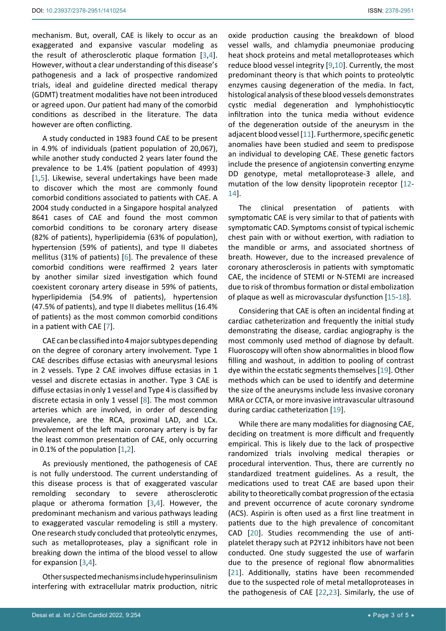mechanism. But, overall, CAE is likely to occur as an exaggerated and expansive vascular modeling as the result of atherosclerotic plaque formation [[3](#page-3-2),[4](#page-3-3)]. However, without a clear understanding of this disease's pathogenesis and a lack of prospective randomized trials, ideal and guideline directed medical therapy (GDMT) treatment modalities have not been introduced or agreed upon. Our patient had many of the comorbid conditions as described in the literature. The data however are often conflicting.

A study conducted in 1983 found CAE to be present in 4.9% of individuals (patient population of 20,067), while another study conducted 2 years later found the prevalence to be 1.4% (patient population of 4993) [[1](#page-3-0),[5\]](#page-3-15). Likewise, several undertakings have been made to discover which the most are commonly found comorbid conditions associated to patients with CAE. A 2004 study conducted in a Singapore hospital analyzed 8641 cases of CAE and found the most common comorbid conditions to be coronary artery disease (82% of patients), hyperlipidemia (63% of population), hypertension (59% of patients), and type II diabetes mellitus (31% of patients) [[6\]](#page-3-16). The prevalence of these comorbid conditions were reaffirmed 2 years later by another similar sized investigation which found coexistent coronary artery disease in 59% of patients, hyperlipidemia (54.9% of patients), hypertension (47.5% of patients), and type II diabetes mellitus (16.4% of patients) as the most common comorbid conditions in a patient with CAE [\[7](#page-3-17)].

CAE can be classified into 4 major subtypes depending on the degree of coronary artery involvement. Type 1 CAE describes diffuse ectasias with aneurysmal lesions in 2 vessels. Type 2 CAE involves diffuse ectasias in 1 vessel and discrete ectasias in another. Type 3 CAE is diffuse ectasias in only 1 vessel and Type 4 is classified by discrete ectasia in only 1 vessel [[8](#page-3-18)]. The most common arteries which are involved, in order of descending prevalence, are the RCA, proximal LAD, and LCx. Involvement of the left main coronary artery is by far the least common presentation of CAE, only occurring in 0.1% of the population [\[1](#page-3-0)[,2](#page-3-1)].

As previously mentioned, the pathogenesis of CAE is not fully understood. The current understanding of this disease process is that of exaggerated vascular remolding secondary to severe atherosclerotic plaque or atheroma formation [[3](#page-3-2),[4\]](#page-3-3). However, the predominant mechanism and various pathways leading to exaggerated vascular remodeling is still a mystery. One research study concluded that proteolytic enzymes, such as metalloproteases, play a significant role in breaking down the intima of the blood vessel to allow for expansion [\[3](#page-3-2),[4](#page-3-3)].

Other suspected mechanisms include hyperinsulinism interfering with extracellular matrix production, nitric

oxide production causing the breakdown of blood vessel walls, and chlamydia pneumoniae producing heat shock proteins and metal metalloproteases which reduce blood vessel integrity [[9,](#page-3-4)[10\]](#page-3-5). Currently, the most predominant theory is that which points to proteolytic enzymes causing degeneration of the media. In fact, histological analysis of these blood vessels demonstrates cystic medial degeneration and lymphohistiocytic infiltration into the tunica media without evidence of the degeneration outside of the aneurysm in the adjacent blood vessel [\[11\]](#page-3-6). Furthermore, specific genetic anomalies have been studied and seem to predispose an individual to developing CAE. These genetic factors include the presence of angiotensin converting enzyme DD genotype, metal metalloprotease-3 allele, and mutation of the low density lipoprotein receptor [\[12](#page-3-7)- [14](#page-3-8)].

The clinical presentation of patients with symptomatic CAE is very similar to that of patients with symptomatic CAD. Symptoms consist of typical ischemic chest pain with or without exertion, with radiation to the mandible or arms, and associated shortness of breath. However, due to the increased prevalence of coronary atherosclerosis in patients with symptomatic CAE, the incidence of STEMI or N-STEMI are increased due to risk of thrombus formation or distal embolization of plaque as well as microvascular dysfunction [\[15](#page-3-9)-[18](#page-3-10)].

Considering that CAE is often an incidental finding at cardiac catheterization and frequently the initial study demonstrating the disease, cardiac angiography is the most commonly used method of diagnose by default. Fluoroscopy will often show abnormalities in blood flow filling and washout, in addition to pooling of contrast dye within the ecstatic segments themselves [\[19](#page-3-11)]. Other methods which can be used to identify and determine the size of the aneurysms include less invasive coronary MRA or CCTA, or more invasive intravascular ultrasound during cardiac catheterization [\[19](#page-3-11)].

While there are many modalities for diagnosing CAE, deciding on treatment is more difficult and frequently empirical. This is likely due to the lack of prospective randomized trials involving medical therapies or procedural intervention. Thus, there are currently no standardized treatment guidelines. As a result, the medications used to treat CAE are based upon their ability to theoretically combat progression of the ectasia and prevent occurrence of acute coronary syndrome (ACS). Aspirin is often used as a first line treatment in patients due to the high prevalence of concomitant CAD [[20](#page-3-12)]. Studies recommending the use of antiplatelet therapy such at P2Y12 inhibitors have not been conducted. One study suggested the use of warfarin due to the presence of regional flow abnormalities [[21](#page-3-13)]. Additionally, statins have been recommended due to the suspected role of metal metalloproteases in the pathogenesis of CAE [[22](#page-3-14),[23](#page-4-0)]. Similarly, the use of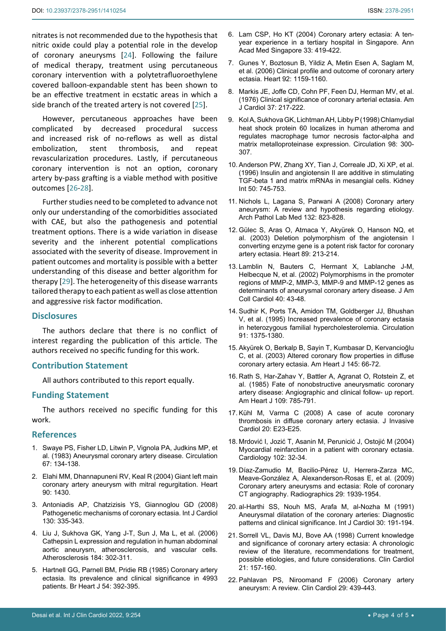nitrates is not recommended due to the hypothesis that nitric oxide could play a potential role in the develop of coronary aneurysms [\[24](#page-4-1)]. Following the failure of medical therapy, treatment using percutaneous coronary intervention with a polytetrafluoroethylene covered balloon-expandable stent has been shown to be an effective treatment in ecstatic areas in which a side branch of the treated artery is not covered [[25](#page-4-2)].

However, percutaneous approaches have been complicated by decreased procedural success and increased risk of no-reflows as well as distal embolization, stent thrombosis, and repeat revascularization procedures. Lastly, if percutaneous coronary intervention is not an option, coronary artery by-pass grafting is a viable method with positive outcomes [[26-](#page-4-3)[28](#page-4-4)].

Further studies need to be completed to advance not only our understanding of the comorbidities associated with CAE, but also the pathogenesis and potential treatment options. There is a wide variation in disease severity and the inherent potential complications associated with the severity of disease. Improvement in patient outcomes and mortality is possible with a better understanding of this disease and better algorithm for therapy [[29](#page-4-5)]. The heterogeneity of this disease warrants tailored therapy to each patient as well as close attention and aggressive risk factor modification.

## **Disclosures**

The authors declare that there is no conflict of interest regarding the publication of this article. The authors received no specific funding for this work.

#### **Contribution Statement**

All authors contributed to this report equally.

#### **Funding Statement**

The authors received no specific funding for this work.

#### **References**

- <span id="page-3-0"></span>1. [Swaye PS, Fisher LD, Litwin P, Vignola PA, Judkins MP, et](https://www.ahajournals.org/doi/10.1161/01.CIR.67.1.134)  [al. \(1983\) Aneurysmal coronary artery disease. Circulation](https://www.ahajournals.org/doi/10.1161/01.CIR.67.1.134)  [67: 134-138.](https://www.ahajournals.org/doi/10.1161/01.CIR.67.1.134)
- <span id="page-3-1"></span>2. [Elahi MM, Dhannapuneni RV, Keal R \(2004\) Giant left main](https://pubmed.ncbi.nlm.nih.gov/15547021/)  [coronary artery aneurysm with mitral regurgitation. Heart](https://pubmed.ncbi.nlm.nih.gov/15547021/)  [90: 1430.](https://pubmed.ncbi.nlm.nih.gov/15547021/)
- <span id="page-3-2"></span>3. [Antoniadis AP, Chatzizisis YS, Giannoglou GD \(2008\)](https://pubmed.ncbi.nlm.nih.gov/18694609/)  [Pathogenetic mechanisms of coronary ectasia. Int J Cardiol](https://pubmed.ncbi.nlm.nih.gov/18694609/)  [130: 335-343.](https://pubmed.ncbi.nlm.nih.gov/18694609/)
- <span id="page-3-3"></span>4. [Liu J, Sukhova GK, Yang J-T, Sun J, Ma L, et al. \(2006\)](https://pubmed.ncbi.nlm.nih.gov/15982660/)  [Cathepsin L expression and regulation in human abdominal](https://pubmed.ncbi.nlm.nih.gov/15982660/)  [aortic aneurysm, atherosclerosis, and vascular cells.](https://pubmed.ncbi.nlm.nih.gov/15982660/)  [Atherosclerosis 184: 302-311.](https://pubmed.ncbi.nlm.nih.gov/15982660/)
- <span id="page-3-15"></span>5. [Hartnell GG, Parnell BM, Pridie RB \(1985\) Coronary artery](https://pubmed.ncbi.nlm.nih.gov/4052280/)  [ectasia. Its prevalence and clinical significance in 4993](https://pubmed.ncbi.nlm.nih.gov/4052280/)  [patients. Br Heart J 54: 392-395.](https://pubmed.ncbi.nlm.nih.gov/4052280/)
- <span id="page-3-16"></span>6. [Lam CSP, Ho KT \(2004\) Coronary artery ectasia: A ten](https://pubmed.ncbi.nlm.nih.gov/15329751/)[year experience in a tertiary hospital in Singapore. Ann](https://pubmed.ncbi.nlm.nih.gov/15329751/)  [Acad Med Singapore 33: 419-422.](https://pubmed.ncbi.nlm.nih.gov/15329751/)
- <span id="page-3-17"></span>7. [Gunes Y, Boztosun B, Yildiz A, Metin Esen A, Saglam M,](https://pubmed.ncbi.nlm.nih.gov/16844876/)  [et al. \(2006\) Clinical profile and outcome of coronary artery](https://pubmed.ncbi.nlm.nih.gov/16844876/)  [ectasia. Heart 92: 1159-1160.](https://pubmed.ncbi.nlm.nih.gov/16844876/)
- <span id="page-3-18"></span>8. [Markis JE, Joffe CD, Cohn PF, Feen DJ, Herman MV, et al.](https://pubmed.ncbi.nlm.nih.gov/1108631/)  [\(1976\) Clinical significance of coronary arterial ectasia. Am](https://pubmed.ncbi.nlm.nih.gov/1108631/)  [J Cardiol 37: 217-222.](https://pubmed.ncbi.nlm.nih.gov/1108631/)
- <span id="page-3-4"></span>9. [Kol A, Sukhova GK, Lichtman AH, Libby P \(1998\) Chlamydial](https://pubmed.ncbi.nlm.nih.gov/9711934/)  [heat shock protein 60 localizes in human atheroma and](https://pubmed.ncbi.nlm.nih.gov/9711934/)  [regulates macrophage tumor necrosis factor-alpha and](https://pubmed.ncbi.nlm.nih.gov/9711934/)  [matrix metalloproteinase expression. Circulation 98: 300-](https://pubmed.ncbi.nlm.nih.gov/9711934/) [307.](https://pubmed.ncbi.nlm.nih.gov/9711934/)
- <span id="page-3-5"></span>10. [Anderson PW, Zhang XY, Tian J, Correale JD, Xi XP, et al.](https://pubmed.ncbi.nlm.nih.gov/8872947/)  [\(1996\) Insulin and angiotensin II are additive in stimulating](https://pubmed.ncbi.nlm.nih.gov/8872947/)  [TGF-beta 1 and matrix mRNAs in mesangial cells. Kidney](https://pubmed.ncbi.nlm.nih.gov/8872947/)  [Int 50: 745-753.](https://pubmed.ncbi.nlm.nih.gov/8872947/)
- <span id="page-3-6"></span>11. [Nichols L, Lagana S, Parwani A \(2008\) Coronary artery](https://pubmed.ncbi.nlm.nih.gov/18466032/)  [aneurysm: A review and hypothesis regarding etiology.](https://pubmed.ncbi.nlm.nih.gov/18466032/)  [Arch Pathol Lab Med 132: 823-828.](https://pubmed.ncbi.nlm.nih.gov/18466032/)
- <span id="page-3-7"></span>12. [Gülec S, Aras O, Atmaca Y, Akyürek O, Hanson NQ, et](https://pubmed.ncbi.nlm.nih.gov/12527685/)  [al. \(2003\) Deletion polymorphism of the angiotensin I](https://pubmed.ncbi.nlm.nih.gov/12527685/)  [converting enzyme gene is a potent risk factor for coronary](https://pubmed.ncbi.nlm.nih.gov/12527685/)  [artery ectasia. Heart 89: 213-214.](https://pubmed.ncbi.nlm.nih.gov/12527685/)
- 13. [Lamblin N, Bauters C, Hermant X, Lablanche J-M,](https://pubmed.ncbi.nlm.nih.gov/12103254/)  [Helbecque N, et al. \(2002\) Polymorphisms in the promoter](https://pubmed.ncbi.nlm.nih.gov/12103254/)  [regions of MMP-2, MMP-3, MMP-9 and MMP-12 genes as](https://pubmed.ncbi.nlm.nih.gov/12103254/)  [determinants of aneurysmal coronary artery disease. J Am](https://pubmed.ncbi.nlm.nih.gov/12103254/)  [Coll Cardiol 40: 43-48.](https://pubmed.ncbi.nlm.nih.gov/12103254/)
- <span id="page-3-8"></span>14. [Sudhir K, Ports TA, Amidon TM, Goldberger JJ, Bhushan](https://pubmed.ncbi.nlm.nih.gov/7867176/)  [V, et al. \(1995\) Increased prevalence of coronary ectasia](https://pubmed.ncbi.nlm.nih.gov/7867176/)  [in heterozygous familial hypercholesterolemia. Circulation](https://pubmed.ncbi.nlm.nih.gov/7867176/)  [91: 1375-1380.](https://pubmed.ncbi.nlm.nih.gov/7867176/)
- <span id="page-3-9"></span>15. [Akyürek O, Berkalp B, Sayin T, Kumbasar D, Kervancioğlu](https://pubmed.ncbi.nlm.nih.gov/12514656/)  [C, et al. \(2003\) Altered coronary flow properties in diffuse](https://pubmed.ncbi.nlm.nih.gov/12514656/)  [coronary artery ectasia. Am Heart J 145: 66-72.](https://pubmed.ncbi.nlm.nih.gov/12514656/)
- 16. [Rath S, Har-Zahav Y, Battler A, Agranat O, Rotstein Z, et](https://pubmed.ncbi.nlm.nih.gov/3984833/)  [al. \(1985\) Fate of nonobstructive aneurysmatic coronary](https://pubmed.ncbi.nlm.nih.gov/3984833/)  [artery disease: Angiographic and clinical follow- up report.](https://pubmed.ncbi.nlm.nih.gov/3984833/)  [Am Heart J 109: 785-791.](https://pubmed.ncbi.nlm.nih.gov/3984833/)
- 17. [Kühl M, Varma C \(2008\) A case of acute coronary](https://pubmed.ncbi.nlm.nih.gov/18174626/)  [thrombosis in diffuse coronary artery ectasia. J Invasive](https://pubmed.ncbi.nlm.nih.gov/18174626/)  [Cardiol 20: E23-E25.](https://pubmed.ncbi.nlm.nih.gov/18174626/)
- <span id="page-3-10"></span>18. [Mrdović I, Jozić T, Asanin M, Perunicić J, Ostojić M \(2004\)](https://pubmed.ncbi.nlm.nih.gov/15004454/)  [Myocardial reinfarction in a patient with coronary ectasia.](https://pubmed.ncbi.nlm.nih.gov/15004454/)  [Cardiology 102: 32-34.](https://pubmed.ncbi.nlm.nih.gov/15004454/)
- <span id="page-3-11"></span>19. [Díaz-Zamudio M, Bacilio-Pérez U, Herrera-Zarza MC,](https://pubmed.ncbi.nlm.nih.gov/19926755/)  [Meave-González A, Alexanderson-Rosas E, et al. \(2009\)](https://pubmed.ncbi.nlm.nih.gov/19926755/)  [Coronary artery aneurysms and ectasia: Role of coronary](https://pubmed.ncbi.nlm.nih.gov/19926755/)  [CT angiography. Radiographics 29: 1939-1954.](https://pubmed.ncbi.nlm.nih.gov/19926755/)
- <span id="page-3-12"></span>20. [al-Harthi SS, Nouh MS, Arafa M, al-Nozha M \(1991\)](https://pubmed.ncbi.nlm.nih.gov/2010241/)  [Aneurysmal dilatation of the coronary arteries: Diagnostic](https://pubmed.ncbi.nlm.nih.gov/2010241/)  [patterns and clinical significance. Int J Cardiol 30: 191-194.](https://pubmed.ncbi.nlm.nih.gov/2010241/)
- <span id="page-3-13"></span>21. [Sorrell VL, Davis MJ, Bove AA \(1998\) Current knowledge](https://pubmed.ncbi.nlm.nih.gov/9541758/)  [and significance of coronary artery ectasia: A chronologic](https://pubmed.ncbi.nlm.nih.gov/9541758/)  [review of the literature, recommendations for treatment,](https://pubmed.ncbi.nlm.nih.gov/9541758/)  [possible etiologies, and future considerations. Clin Cardiol](https://pubmed.ncbi.nlm.nih.gov/9541758/)  [21: 157-160.](https://pubmed.ncbi.nlm.nih.gov/9541758/)
- <span id="page-3-14"></span>22. [Pahlavan PS, Niroomand F \(2006\) Coronary artery](https://pubmed.ncbi.nlm.nih.gov/17063947/)  [aneurysm: A review. Clin Cardiol 29: 439-443.](https://pubmed.ncbi.nlm.nih.gov/17063947/)